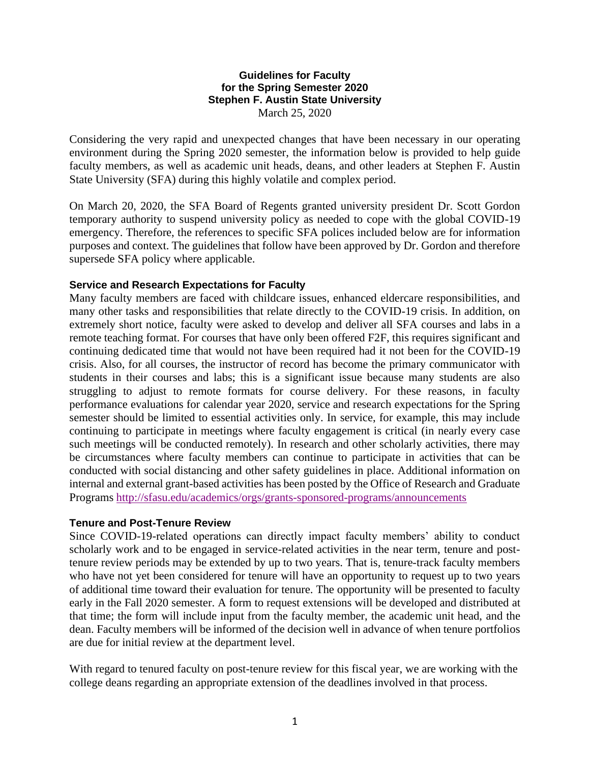#### **Guidelines for Faculty for the Spring Semester 2020 Stephen F. Austin State University** March 25, 2020

Considering the very rapid and unexpected changes that have been necessary in our operating environment during the Spring 2020 semester, the information below is provided to help guide faculty members, as well as academic unit heads, deans, and other leaders at Stephen F. Austin State University (SFA) during this highly volatile and complex period.

On March 20, 2020, the SFA Board of Regents granted university president Dr. Scott Gordon temporary authority to suspend university policy as needed to cope with the global COVID-19 emergency. Therefore, the references to specific SFA polices included below are for information purposes and context. The guidelines that follow have been approved by Dr. Gordon and therefore supersede SFA policy where applicable.

# **Service and Research Expectations for Faculty**

Many faculty members are faced with childcare issues, enhanced eldercare responsibilities, and many other tasks and responsibilities that relate directly to the COVID-19 crisis. In addition, on extremely short notice, faculty were asked to develop and deliver all SFA courses and labs in a remote teaching format. For courses that have only been offered F2F, this requires significant and continuing dedicated time that would not have been required had it not been for the COVID-19 crisis. Also, for all courses, the instructor of record has become the primary communicator with students in their courses and labs; this is a significant issue because many students are also struggling to adjust to remote formats for course delivery. For these reasons, in faculty performance evaluations for calendar year 2020, service and research expectations for the Spring semester should be limited to essential activities only. In service, for example, this may include continuing to participate in meetings where faculty engagement is critical (in nearly every case such meetings will be conducted remotely). In research and other scholarly activities, there may be circumstances where faculty members can continue to participate in activities that can be conducted with social distancing and other safety guidelines in place. Additional information on internal and external grant-based activities has been posted by the Office of Research and Graduate Programs <http://sfasu.edu/academics/orgs/grants-sponsored-programs/announcements>

## **Tenure and Post-Tenure Review**

Since COVID-19-related operations can directly impact faculty members' ability to conduct scholarly work and to be engaged in service-related activities in the near term, tenure and posttenure review periods may be extended by up to two years. That is, tenure-track faculty members who have not yet been considered for tenure will have an opportunity to request up to two years of additional time toward their evaluation for tenure. The opportunity will be presented to faculty early in the Fall 2020 semester. A form to request extensions will be developed and distributed at that time; the form will include input from the faculty member, the academic unit head, and the dean. Faculty members will be informed of the decision well in advance of when tenure portfolios are due for initial review at the department level.

With regard to tenured faculty on post-tenure review for this fiscal year, we are working with the college deans regarding an appropriate extension of the deadlines involved in that process.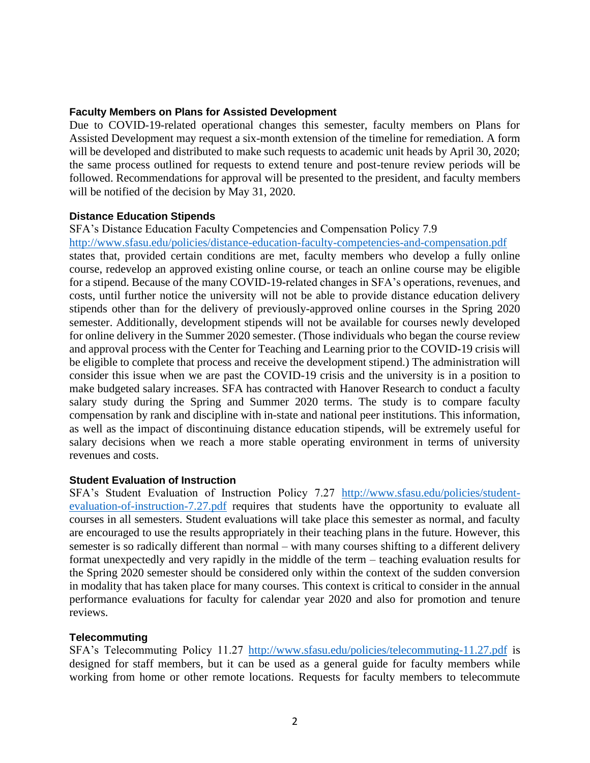## **Faculty Members on Plans for Assisted Development**

Due to COVID-19-related operational changes this semester, faculty members on Plans for Assisted Development may request a six-month extension of the timeline for remediation. A form will be developed and distributed to make such requests to academic unit heads by April 30, 2020; the same process outlined for requests to extend tenure and post-tenure review periods will be followed. Recommendations for approval will be presented to the president, and faculty members will be notified of the decision by May 31, 2020.

### **Distance Education Stipends**

### SFA's Distance Education Faculty Competencies and Compensation Policy 7.9

<http://www.sfasu.edu/policies/distance-education-faculty-competencies-and-compensation.pdf> states that, provided certain conditions are met, faculty members who develop a fully online course, redevelop an approved existing online course, or teach an online course may be eligible for a stipend. Because of the many COVID-19-related changes in SFA's operations, revenues, and costs, until further notice the university will not be able to provide distance education delivery stipends other than for the delivery of previously-approved online courses in the Spring 2020 semester. Additionally, development stipends will not be available for courses newly developed for online delivery in the Summer 2020 semester. (Those individuals who began the course review and approval process with the Center for Teaching and Learning prior to the COVID-19 crisis will be eligible to complete that process and receive the development stipend.) The administration will consider this issue when we are past the COVID-19 crisis and the university is in a position to make budgeted salary increases. SFA has contracted with Hanover Research to conduct a faculty salary study during the Spring and Summer 2020 terms. The study is to compare faculty compensation by rank and discipline with in-state and national peer institutions. This information, as well as the impact of discontinuing distance education stipends, will be extremely useful for salary decisions when we reach a more stable operating environment in terms of university revenues and costs.

#### **Student Evaluation of Instruction**

SFA's Student Evaluation of Instruction Policy 7.27 [http://www.sfasu.edu/policies/student](http://www.sfasu.edu/policies/student-evaluation-of-instruction-7.27.pdf)[evaluation-of-instruction-7.27.pdf](http://www.sfasu.edu/policies/student-evaluation-of-instruction-7.27.pdf) requires that students have the opportunity to evaluate all courses in all semesters. Student evaluations will take place this semester as normal, and faculty are encouraged to use the results appropriately in their teaching plans in the future. However, this semester is so radically different than normal – with many courses shifting to a different delivery format unexpectedly and very rapidly in the middle of the term – teaching evaluation results for the Spring 2020 semester should be considered only within the context of the sudden conversion in modality that has taken place for many courses. This context is critical to consider in the annual performance evaluations for faculty for calendar year 2020 and also for promotion and tenure reviews.

#### **Telecommuting**

SFA's Telecommuting Policy 11.27 <http://www.sfasu.edu/policies/telecommuting-11.27.pdf> is designed for staff members, but it can be used as a general guide for faculty members while working from home or other remote locations. Requests for faculty members to telecommute